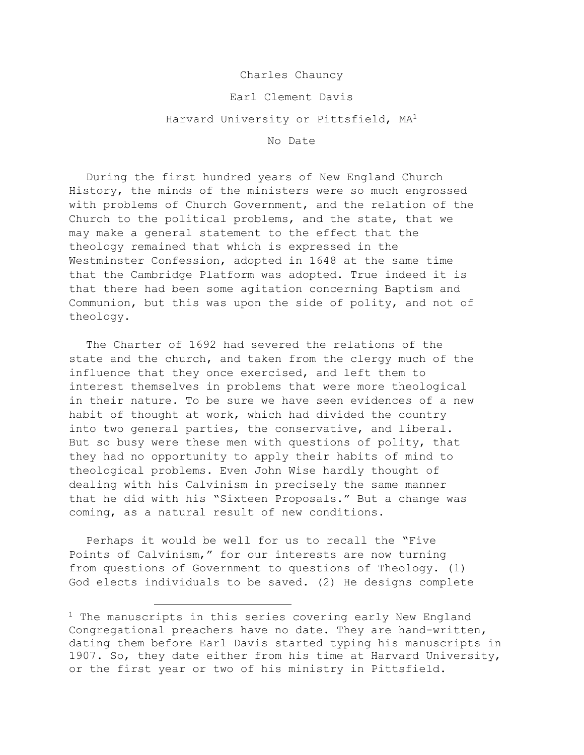## Charles Chauncy

## Earl Clement Davis

## Harvard University or Pittsfield, MA<sup>1</sup>

No Date

During the first hundred years of New England Church History, the minds of the ministers were so much engrossed with problems of Church Government, and the relation of the Church to the political problems, and the state, that we may make a general statement to the effect that the theology remained that which is expressed in the Westminster Confession, adopted in 1648 at the same time that the Cambridge Platform was adopted. True indeed it is that there had been some agitation concerning Baptism and Communion, but this was upon the side of polity, and not of theology.

The Charter of 1692 had severed the relations of the state and the church, and taken from the clergy much of the influence that they once exercised, and left them to interest themselves in problems that were more theological in their nature. To be sure we have seen evidences of a new habit of thought at work, which had divided the country into two general parties, the conservative, and liberal. But so busy were these men with questions of polity, that they had no opportunity to apply their habits of mind to theological problems. Even John Wise hardly thought of dealing with his Calvinism in precisely the same manner that he did with his "Sixteen Proposals." But a change was coming, as a natural result of new conditions.

Perhaps it would be well for us to recall the "Five Points of Calvinism," for our interests are now turning from questions of Government to questions of Theology. (1) God elects individuals to be saved. (2) He designs complete

 $1$  The manuscripts in this series covering early New England Congregational preachers have no date. They are hand-written, dating them before Earl Davis started typing his manuscripts in 1907. So, they date either from his time at Harvard University, or the first year or two of his ministry in Pittsfield.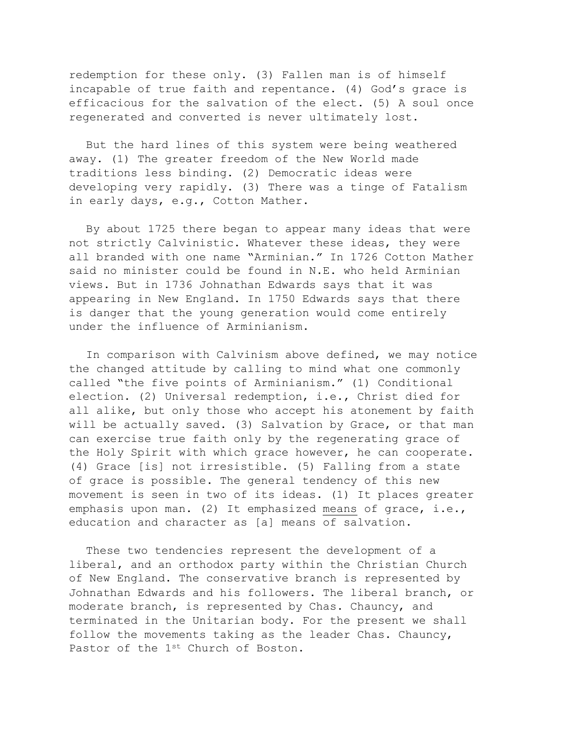redemption for these only. (3) Fallen man is of himself incapable of true faith and repentance. (4) God's grace is efficacious for the salvation of the elect. (5) A soul once regenerated and converted is never ultimately lost.

But the hard lines of this system were being weathered away. (1) The greater freedom of the New World made traditions less binding. (2) Democratic ideas were developing very rapidly. (3) There was a tinge of Fatalism in early days, e.g., Cotton Mather.

By about 1725 there began to appear many ideas that were not strictly Calvinistic. Whatever these ideas, they were all branded with one name "Arminian." In 1726 Cotton Mather said no minister could be found in N.E. who held Arminian views. But in 1736 Johnathan Edwards says that it was appearing in New England. In 1750 Edwards says that there is danger that the young generation would come entirely under the influence of Arminianism.

In comparison with Calvinism above defined, we may notice the changed attitude by calling to mind what one commonly called "the five points of Arminianism." (1) Conditional election. (2) Universal redemption, i.e., Christ died for all alike, but only those who accept his atonement by faith will be actually saved. (3) Salvation by Grace, or that man can exercise true faith only by the regenerating grace of the Holy Spirit with which grace however, he can cooperate. (4) Grace [is] not irresistible. (5) Falling from a state of grace is possible. The general tendency of this new movement is seen in two of its ideas. (1) It places greater emphasis upon man. (2) It emphasized means of grace, i.e., education and character as [a] means of salvation.

These two tendencies represent the development of a liberal, and an orthodox party within the Christian Church of New England. The conservative branch is represented by Johnathan Edwards and his followers. The liberal branch, or moderate branch, is represented by Chas. Chauncy, and terminated in the Unitarian body. For the present we shall follow the movements taking as the leader Chas. Chauncy, Pastor of the 1<sup>st</sup> Church of Boston.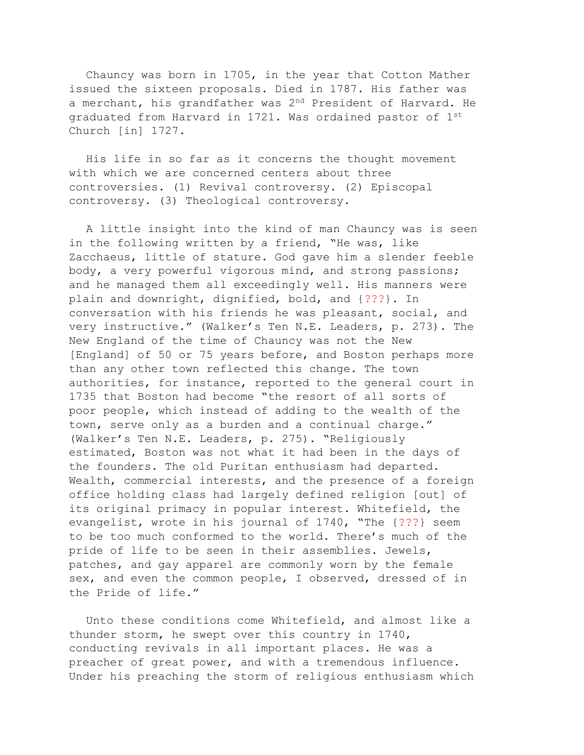Chauncy was born in 1705, in the year that Cotton Mather issued the sixteen proposals. Died in 1787. His father was a merchant, his grandfather was 2nd President of Harvard. He graduated from Harvard in 1721. Was ordained pastor of 1st Church [in] 1727.

His life in so far as it concerns the thought movement with which we are concerned centers about three controversies. (1) Revival controversy. (2) Episcopal controversy. (3) Theological controversy.

A little insight into the kind of man Chauncy was is seen in the following written by a friend, "He was, like Zacchaeus, little of stature. God gave him a slender feeble body, a very powerful vigorous mind, and strong passions; and he managed them all exceedingly well. His manners were plain and downright, dignified, bold, and {???}. In conversation with his friends he was pleasant, social, and very instructive." (Walker's Ten N.E. Leaders, p. 273). The New England of the time of Chauncy was not the New [England] of 50 or 75 years before, and Boston perhaps more than any other town reflected this change. The town authorities, for instance, reported to the general court in 1735 that Boston had become "the resort of all sorts of poor people, which instead of adding to the wealth of the town, serve only as a burden and a continual charge." (Walker's Ten N.E. Leaders, p. 275). "Religiously estimated, Boston was not what it had been in the days of the founders. The old Puritan enthusiasm had departed. Wealth, commercial interests, and the presence of a foreign office holding class had largely defined religion [out] of its original primacy in popular interest. Whitefield, the evangelist, wrote in his journal of 1740, "The {???} seem to be too much conformed to the world. There's much of the pride of life to be seen in their assemblies. Jewels, patches, and gay apparel are commonly worn by the female sex, and even the common people, I observed, dressed of in the Pride of life."

Unto these conditions come Whitefield, and almost like a thunder storm, he swept over this country in 1740, conducting revivals in all important places. He was a preacher of great power, and with a tremendous influence. Under his preaching the storm of religious enthusiasm which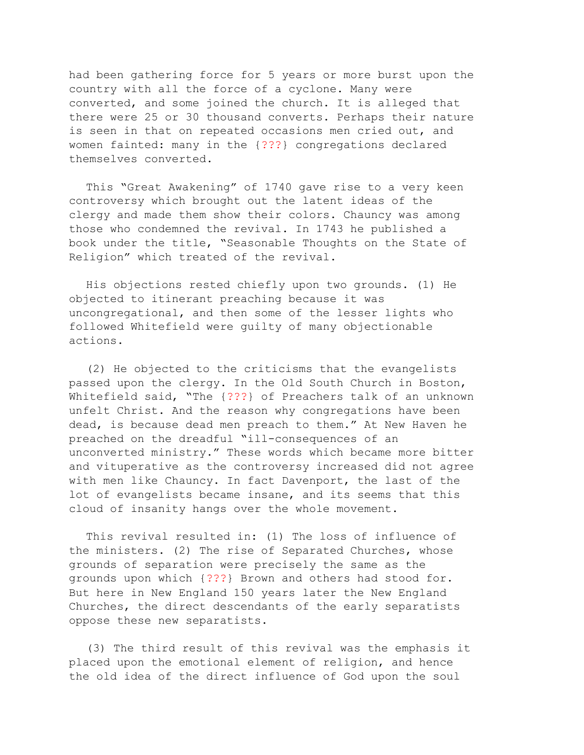had been gathering force for 5 years or more burst upon the country with all the force of a cyclone. Many were converted, and some joined the church. It is alleged that there were 25 or 30 thousand converts. Perhaps their nature is seen in that on repeated occasions men cried out, and women fainted: many in the {???} congregations declared themselves converted.

This "Great Awakening" of 1740 gave rise to a very keen controversy which brought out the latent ideas of the clergy and made them show their colors. Chauncy was among those who condemned the revival. In 1743 he published a book under the title, "Seasonable Thoughts on the State of Religion" which treated of the revival.

His objections rested chiefly upon two grounds. (1) He objected to itinerant preaching because it was uncongregational, and then some of the lesser lights who followed Whitefield were guilty of many objectionable actions.

(2) He objected to the criticisms that the evangelists passed upon the clergy. In the Old South Church in Boston, Whitefield said, "The {???} of Preachers talk of an unknown unfelt Christ. And the reason why congregations have been dead, is because dead men preach to them." At New Haven he preached on the dreadful "ill-consequences of an unconverted ministry." These words which became more bitter and vituperative as the controversy increased did not agree with men like Chauncy. In fact Davenport, the last of the lot of evangelists became insane, and its seems that this cloud of insanity hangs over the whole movement.

This revival resulted in: (1) The loss of influence of the ministers. (2) The rise of Separated Churches, whose grounds of separation were precisely the same as the grounds upon which {???} Brown and others had stood for. But here in New England 150 years later the New England Churches, the direct descendants of the early separatists oppose these new separatists.

(3) The third result of this revival was the emphasis it placed upon the emotional element of religion, and hence the old idea of the direct influence of God upon the soul